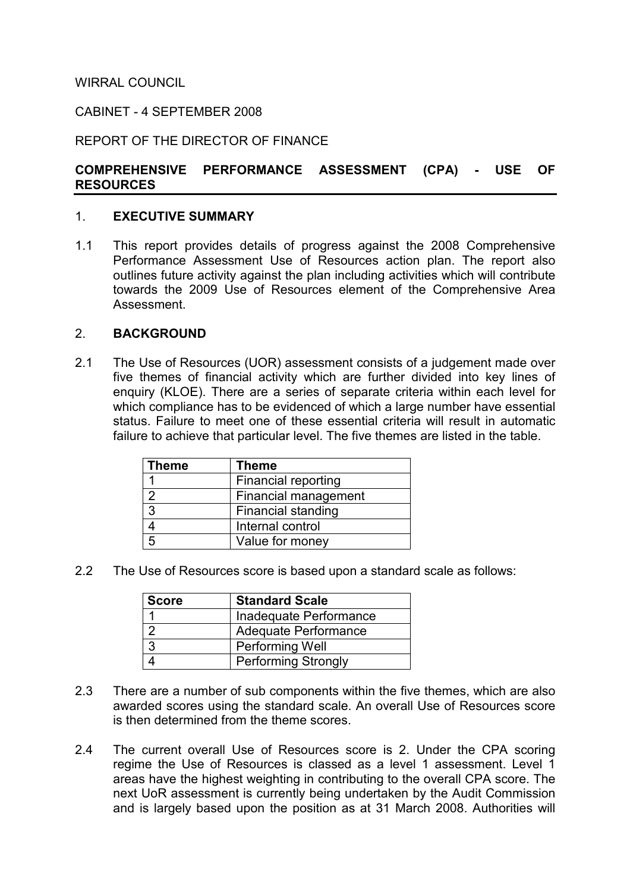## WIRRAL COUNCIL

### CABINET - 4 SEPTEMBER 2008

#### REPORT OF THE DIRECTOR OF FINANCE

#### COMPREHENSIVE PERFORMANCE ASSESSMENT (CPA) - USE OF RESOURCES

#### 1. EXECUTIVE SUMMARY

1.1 This report provides details of progress against the 2008 Comprehensive Performance Assessment Use of Resources action plan. The report also outlines future activity against the plan including activities which will contribute towards the 2009 Use of Resources element of the Comprehensive Area Assessment.

#### 2. BACKGROUND

2.1 The Use of Resources (UOR) assessment consists of a judgement made over five themes of financial activity which are further divided into key lines of enquiry (KLOE). There are a series of separate criteria within each level for which compliance has to be evidenced of which a large number have essential status. Failure to meet one of these essential criteria will result in automatic failure to achieve that particular level. The five themes are listed in the table.

| <b>Theme</b> | <b>Theme</b>              |
|--------------|---------------------------|
|              | Financial reporting       |
| າ            | Financial management      |
| 3            | <b>Financial standing</b> |
|              | Internal control          |
| 片            | Value for money           |

2.2 The Use of Resources score is based upon a standard scale as follows:

| Score | <b>Standard Scale</b>      |
|-------|----------------------------|
|       | Inadequate Performance     |
|       | Adequate Performance       |
| 3     | Performing Well            |
|       | <b>Performing Strongly</b> |

- 2.3 There are a number of sub components within the five themes, which are also awarded scores using the standard scale. An overall Use of Resources score is then determined from the theme scores.
- 2.4 The current overall Use of Resources score is 2. Under the CPA scoring regime the Use of Resources is classed as a level 1 assessment. Level 1 areas have the highest weighting in contributing to the overall CPA score. The next UoR assessment is currently being undertaken by the Audit Commission and is largely based upon the position as at 31 March 2008. Authorities will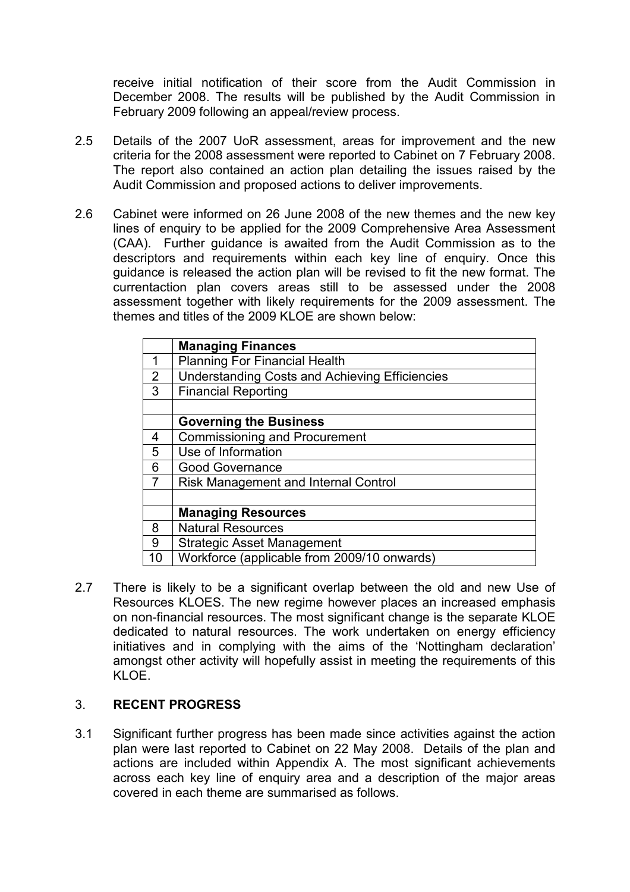receive initial notification of their score from the Audit Commission in December 2008. The results will be published by the Audit Commission in February 2009 following an appeal/review process.

- 2.5 Details of the 2007 UoR assessment, areas for improvement and the new criteria for the 2008 assessment were reported to Cabinet on 7 February 2008. The report also contained an action plan detailing the issues raised by the Audit Commission and proposed actions to deliver improvements.
- 2.6 Cabinet were informed on 26 June 2008 of the new themes and the new key lines of enquiry to be applied for the 2009 Comprehensive Area Assessment (CAA). Further guidance is awaited from the Audit Commission as to the descriptors and requirements within each key line of enquiry. Once this guidance is released the action plan will be revised to fit the new format. The currentaction plan covers areas still to be assessed under the 2008 assessment together with likely requirements for the 2009 assessment. The themes and titles of the 2009 KLOE are shown below:

|    | <b>Managing Finances</b>                              |
|----|-------------------------------------------------------|
| 1  | <b>Planning For Financial Health</b>                  |
| 2  | <b>Understanding Costs and Achieving Efficiencies</b> |
| 3  | <b>Financial Reporting</b>                            |
|    |                                                       |
|    | <b>Governing the Business</b>                         |
| 4  | <b>Commissioning and Procurement</b>                  |
| 5  | Use of Information                                    |
| 6  | <b>Good Governance</b>                                |
| 7  | Risk Management and Internal Control                  |
|    |                                                       |
|    | <b>Managing Resources</b>                             |
| 8  | <b>Natural Resources</b>                              |
| 9  | <b>Strategic Asset Management</b>                     |
| 10 | Workforce (applicable from 2009/10 onwards)           |

2.7 There is likely to be a significant overlap between the old and new Use of Resources KLOES. The new regime however places an increased emphasis on non-financial resources. The most significant change is the separate KLOE dedicated to natural resources. The work undertaken on energy efficiency initiatives and in complying with the aims of the 'Nottingham declaration' amongst other activity will hopefully assist in meeting the requirements of this KLOE.

# 3. RECENT PROGRESS

3.1 Significant further progress has been made since activities against the action plan were last reported to Cabinet on 22 May 2008. Details of the plan and actions are included within Appendix A. The most significant achievements across each key line of enquiry area and a description of the major areas covered in each theme are summarised as follows.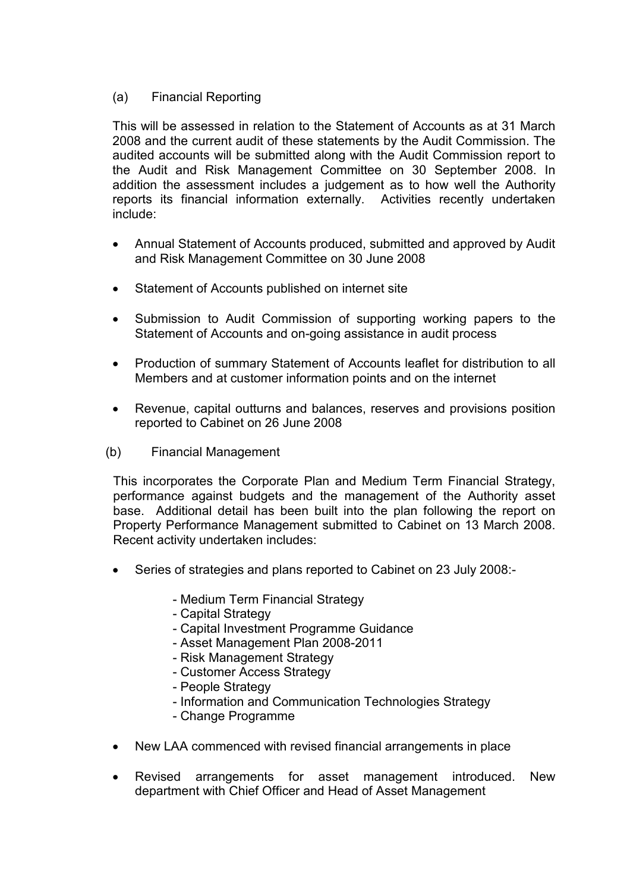## (a) Financial Reporting

This will be assessed in relation to the Statement of Accounts as at 31 March 2008 and the current audit of these statements by the Audit Commission. The audited accounts will be submitted along with the Audit Commission report to the Audit and Risk Management Committee on 30 September 2008. In addition the assessment includes a judgement as to how well the Authority reports its financial information externally. Activities recently undertaken include:

- Annual Statement of Accounts produced, submitted and approved by Audit and Risk Management Committee on 30 June 2008
- Statement of Accounts published on internet site
- Submission to Audit Commission of supporting working papers to the Statement of Accounts and on-going assistance in audit process
- Production of summary Statement of Accounts leaflet for distribution to all Members and at customer information points and on the internet
- Revenue, capital outturns and balances, reserves and provisions position reported to Cabinet on 26 June 2008
- (b) Financial Management

 This incorporates the Corporate Plan and Medium Term Financial Strategy, performance against budgets and the management of the Authority asset base. Additional detail has been built into the plan following the report on Property Performance Management submitted to Cabinet on 13 March 2008. Recent activity undertaken includes:

- Series of strategies and plans reported to Cabinet on 23 July 2008:-
	- Medium Term Financial Strategy
	- Capital Strategy
	- Capital Investment Programme Guidance
	- Asset Management Plan 2008-2011
	- Risk Management Strategy
	- Customer Access Strategy
	- People Strategy
	- Information and Communication Technologies Strategy
	- Change Programme
- New LAA commenced with revised financial arrangements in place
- Revised arrangements for asset management introduced. New department with Chief Officer and Head of Asset Management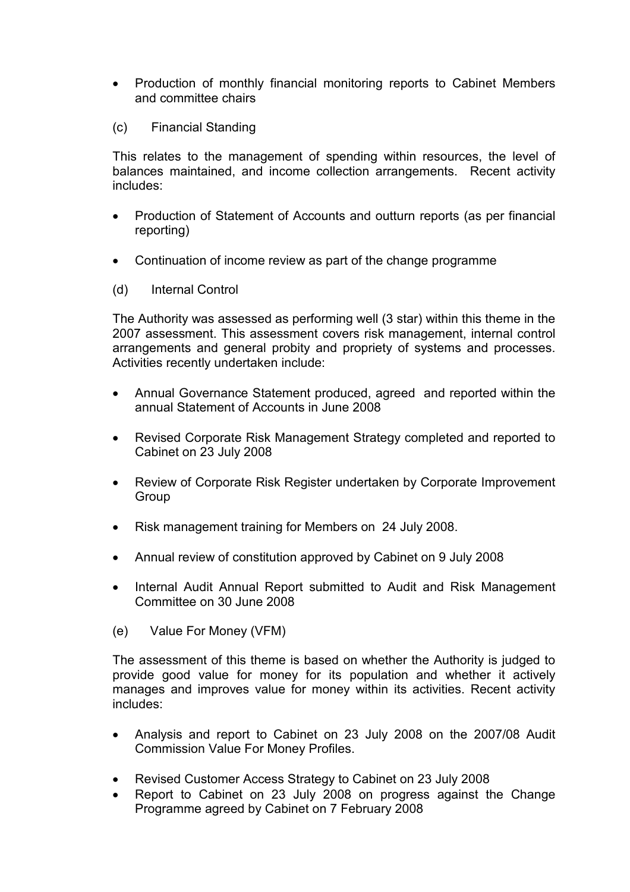- Production of monthly financial monitoring reports to Cabinet Members and committee chairs
- (c) Financial Standing

This relates to the management of spending within resources, the level of balances maintained, and income collection arrangements. Recent activity includes:

- Production of Statement of Accounts and outturn reports (as per financial reporting)
- Continuation of income review as part of the change programme
- (d) Internal Control

The Authority was assessed as performing well (3 star) within this theme in the 2007 assessment. This assessment covers risk management, internal control arrangements and general probity and propriety of systems and processes. Activities recently undertaken include:

- Annual Governance Statement produced, agreed and reported within the annual Statement of Accounts in June 2008
- Revised Corporate Risk Management Strategy completed and reported to Cabinet on 23 July 2008
- Review of Corporate Risk Register undertaken by Corporate Improvement Group
- Risk management training for Members on 24 July 2008.
- Annual review of constitution approved by Cabinet on 9 July 2008
- Internal Audit Annual Report submitted to Audit and Risk Management Committee on 30 June 2008
- (e) Value For Money (VFM)

The assessment of this theme is based on whether the Authority is judged to provide good value for money for its population and whether it actively manages and improves value for money within its activities. Recent activity includes:

- Analysis and report to Cabinet on 23 July 2008 on the 2007/08 Audit Commission Value For Money Profiles.
- Revised Customer Access Strategy to Cabinet on 23 July 2008
- Report to Cabinet on 23 July 2008 on progress against the Change Programme agreed by Cabinet on 7 February 2008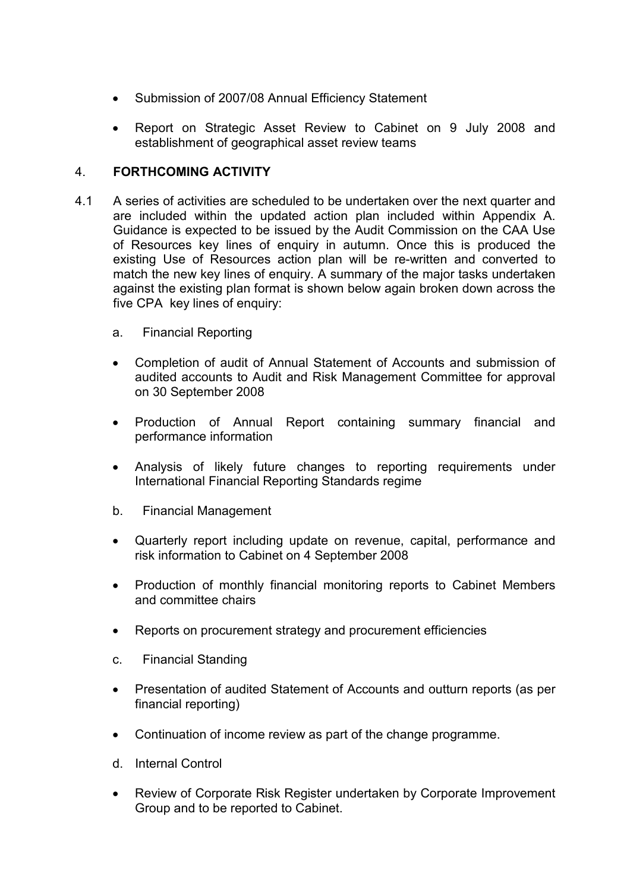- Submission of 2007/08 Annual Efficiency Statement
- Report on Strategic Asset Review to Cabinet on 9 July 2008 and establishment of geographical asset review teams

### 4. FORTHCOMING ACTIVITY

- 4.1 A series of activities are scheduled to be undertaken over the next quarter and are included within the updated action plan included within Appendix A. Guidance is expected to be issued by the Audit Commission on the CAA Use of Resources key lines of enquiry in autumn. Once this is produced the existing Use of Resources action plan will be re-written and converted to match the new key lines of enquiry. A summary of the major tasks undertaken against the existing plan format is shown below again broken down across the five CPA key lines of enquiry:
	- a. Financial Reporting
	- Completion of audit of Annual Statement of Accounts and submission of audited accounts to Audit and Risk Management Committee for approval on 30 September 2008
	- Production of Annual Report containing summary financial and performance information
	- Analysis of likely future changes to reporting requirements under International Financial Reporting Standards regime
	- b. Financial Management
	- Quarterly report including update on revenue, capital, performance and risk information to Cabinet on 4 September 2008
	- Production of monthly financial monitoring reports to Cabinet Members and committee chairs
	- Reports on procurement strategy and procurement efficiencies
	- c. Financial Standing
	- Presentation of audited Statement of Accounts and outturn reports (as per financial reporting)
	- Continuation of income review as part of the change programme.
	- d. Internal Control
	- Review of Corporate Risk Register undertaken by Corporate Improvement Group and to be reported to Cabinet.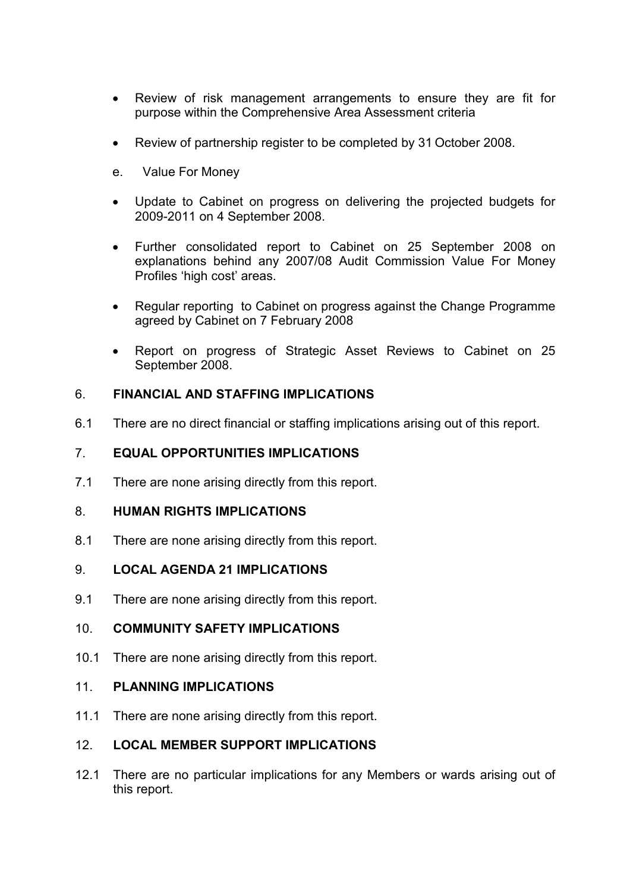- Review of risk management arrangements to ensure they are fit for purpose within the Comprehensive Area Assessment criteria
- Review of partnership register to be completed by 31 October 2008.
- e. Value For Money
- Update to Cabinet on progress on delivering the projected budgets for 2009-2011 on 4 September 2008.
- Further consolidated report to Cabinet on 25 September 2008 on explanations behind any 2007/08 Audit Commission Value For Money Profiles 'high cost' areas.
- Regular reporting to Cabinet on progress against the Change Programme agreed by Cabinet on 7 February 2008
- Report on progress of Strategic Asset Reviews to Cabinet on 25 September 2008.

### 6. FINANCIAL AND STAFFING IMPLICATIONS

6.1 There are no direct financial or staffing implications arising out of this report.

## 7. EQUAL OPPORTUNITIES IMPLICATIONS

7.1 There are none arising directly from this report.

### 8. HUMAN RIGHTS IMPLICATIONS

8.1 There are none arising directly from this report.

# 9. LOCAL AGENDA 21 IMPLICATIONS

9.1 There are none arising directly from this report.

### 10. COMMUNITY SAFETY IMPLICATIONS

10.1 There are none arising directly from this report.

### 11. PLANNING IMPLICATIONS

11.1 There are none arising directly from this report.

### 12. LOCAL MEMBER SUPPORT IMPLICATIONS

12.1 There are no particular implications for any Members or wards arising out of this report.